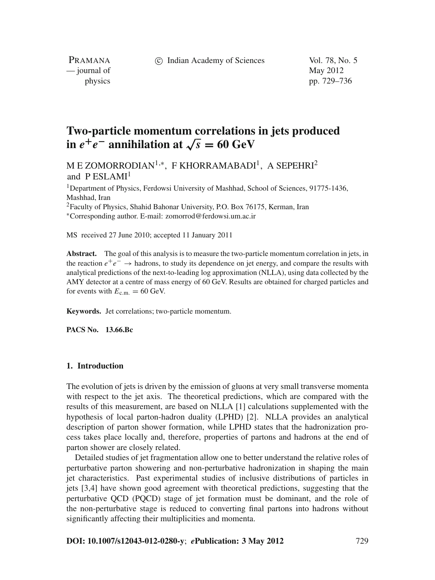c Indian Academy of Sciences Vol. 78, No. 5

PRAMANA  $\frac{1}{2}$  journal of May 2012

physics pp. 729–736

# **Two-particle momentum correlations in jets produced in**  $e^{+}e^{-}$  annihilation at  $\sqrt{s}$  = 60 GeV

M E ZOMORRODIAN<sup>1,∗</sup>, F KHORRAMABADI<sup>1</sup>, A SEPEHRI<sup>2</sup> and P ESLAMI<sup>1</sup>

<sup>1</sup>Department of Physics, Ferdowsi University of Mashhad, School of Sciences, 91775-1436, Mashhad, Iran 2Faculty of Physics, Shahid Bahonar University, P.O. Box 76175, Kerman, Iran <sup>∗</sup>Corresponding author. E-mail: zomorrod@ferdowsi.um.ac.ir

MS received 27 June 2010; accepted 11 January 2011

**Abstract.** The goal of this analysis is to measure the two-particle momentum correlation in jets, in the reaction *e*+*e*<sup>−</sup> → hadrons, to study its dependence on jet energy, and compare the results with analytical predictions of the next-to-leading log approximation (NLLA), using data collected by the AMY detector at a centre of mass energy of 60 GeV. Results are obtained for charged particles and for events with  $E_{\text{c.m.}} = 60 \text{ GeV}$ .

**Keywords.** Jet correlations; two-particle momentum.

**PACS No. 13.66.Bc**

## **1. Introduction**

The evolution of jets is driven by the emission of gluons at very small transverse momenta with respect to the jet axis. The theoretical predictions, which are compared with the results of this measurement, are based on NLLA [1] calculations supplemented with the hypothesis of local parton-hadron duality (LPHD) [2]. NLLA provides an analytical description of parton shower formation, while LPHD states that the hadronization process takes place locally and, therefore, properties of partons and hadrons at the end of parton shower are closely related.

Detailed studies of jet fragmentation allow one to better understand the relative roles of perturbative parton showering and non-perturbative hadronization in shaping the main jet characteristics. Past experimental studies of inclusive distributions of particles in jets [3,4] have shown good agreement with theoretical predictions, suggesting that the perturbative QCD (PQCD) stage of jet formation must be dominant, and the role of the non-perturbative stage is reduced to converting final partons into hadrons without significantly affecting their multiplicities and momenta.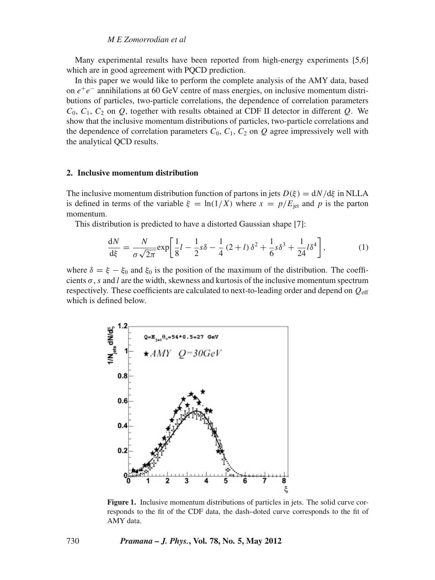# *M E Zomorrodian et al*

Many experimental results have been reported from high-energy experiments [5,6] which are in good agreement with POCD prediction.

In this paper we would like to perform the complete analysis of the AMY data, based on *e*+*e*<sup>−</sup> annihilations at 60 GeV centre of mass energies, on inclusive momentum distributions of particles, two-particle correlations, the dependence of correlation parameters  $C_0$ ,  $C_1$ ,  $C_2$  on  $Q$ , together with results obtained at CDF II detector in different  $Q$ . We show that the inclusive momentum distributions of particles, two-particle correlations and the dependence of correlation parameters  $C_0$ ,  $C_1$ ,  $C_2$  on  $Q$  agree impressively well with the analytical QCD results.

## **2. Inclusive momentum distribution**

The inclusive momentum distribution function of partons in jets  $D(\xi) = dN/d\xi$  in NLLA is defined in terms of the variable  $\xi = \ln(1/X)$  where  $x = p/E_{\text{jet}}$  and p is the parton momentum.

This distribution is predicted to have a distorted Gaussian shape [7]:

$$
\frac{dN}{d\xi} = \frac{N}{\sigma\sqrt{2\pi}} \exp\left[\frac{1}{8}l - \frac{1}{2}s\delta - \frac{1}{4}(2+l)\delta^2 + \frac{1}{6}s\delta^3 + \frac{1}{24}l\delta^4\right],\tag{1}
$$

where  $\delta = \xi - \xi_0$  and  $\xi_0$  is the position of the maximum of the distribution. The coefficients  $\sigma$ , *s* and *l* are the width, skewness and kurtosis of the inclusive momentum spectrum respectively. These coefficients are calculated to next-to-leading order and depend on *Q*eff which is defined below.



**Figure 1.** Inclusive momentum distributions of particles in jets. The solid curve corresponds to the fit of the CDF data, the dash–doted curve corresponds to the fit of AMY data.

730 *Pramana – J. Phys.***, Vol. 78, No. 5, May 2012**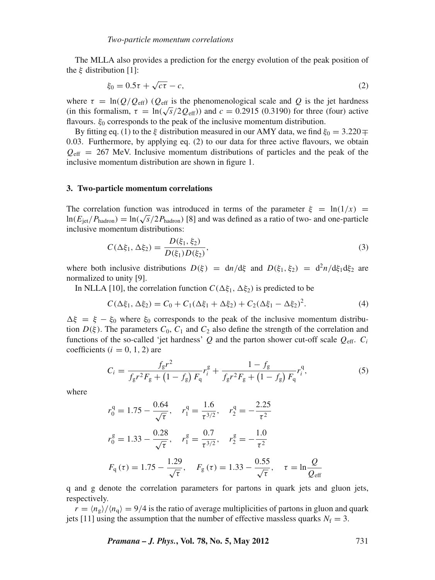The MLLA also provides a prediction for the energy evolution of the peak position of the  $\xi$  distribution [1]:

$$
\xi_0 = 0.5\tau + \sqrt{c\tau} - c,\tag{2}
$$

where  $\tau = \ln(Q/Q_{\text{eff}})$  ( $Q_{\text{eff}}$  is the phenomenological scale and Q is the jet hardness (in this formalism,  $\tau = \ln(\sqrt{s}/2Q_{\text{eff}})$ ) and  $c = 0.2915$  (0.3190) for three (four) active flavours.  $\xi_0$  corresponds to the peak of the inclusive momentum distribution.

By fitting eq. (1) to the ξ distribution measured in our AMY data, we find  $\xi_0 = 3.220 \pm \pi$ 0.03. Furthermore, by applying eq. (2) to our data for three active flavours, we obtain  $Q_{\text{eff}}$  = 267 MeV. Inclusive momentum distributions of particles and the peak of the inclusive momentum distribution are shown in figure 1.

#### **3. Two-particle momentum correlations**

The correlation function was introduced in terms of the parameter  $\xi = \ln(1/x)$ ln( $E_{jet}/P_{hadron}$ ) = ln( $\sqrt{s}/2P_{hadron}$ ) [8] and was defined as a ratio of two- and one-particle inclusive momentum distributions:

$$
C(\Delta \xi_1, \Delta \xi_2) = \frac{D(\xi_1, \xi_2)}{D(\xi_1)D(\xi_2)},
$$
\n(3)

where both inclusive distributions  $D(\xi) = dn/d\xi$  and  $D(\xi_1, \xi_2) = d^2n/d\xi_1 d\xi_2$  are normalized to unity [9].

In NLLA [10], the correlation function  $C(\Delta \xi_1, \Delta \xi_2)$  is predicted to be

$$
C(\Delta \xi_1, \Delta \xi_2) = C_0 + C_1(\Delta \xi_1 + \Delta \xi_2) + C_2(\Delta \xi_1 - \Delta \xi_2)^2.
$$
 (4)

 $\Delta \xi = \xi - \xi_0$  where  $\xi_0$  corresponds to the peak of the inclusive momentum distribution  $D(\xi)$ . The parameters  $C_0$ ,  $C_1$  and  $C_2$  also define the strength of the correlation and functions of the so-called 'jet hardness'  $Q$  and the parton shower cut-off scale  $Q_{\text{eff}}$ .  $C_i$ coefficients  $(i = 0, 1, 2)$  are

$$
C_i = \frac{f_g r^2}{f_g r^2 F_g + (1 - f_g) F_q} r_i^g + \frac{1 - f_g}{f_g r^2 F_g + (1 - f_g) F_q} r_i^q,
$$
\n(5)

where

$$
r_0^q = 1.75 - \frac{0.64}{\sqrt{\tau}}, \quad r_1^q = \frac{1.6}{\tau^{3/2}}, \quad r_2^q = -\frac{2.25}{\tau^2}
$$

$$
r_0^g = 1.33 - \frac{0.28}{\sqrt{\tau}}, \quad r_1^g = \frac{0.7}{\tau^{3/2}}, \quad r_2^g = -\frac{1.0}{\tau^2}
$$

$$
F_q(\tau) = 1.75 - \frac{1.29}{\sqrt{\tau}}, \quad F_g(\tau) = 1.33 - \frac{0.55}{\sqrt{\tau}}, \quad \tau = \ln \frac{Q}{Q_{eff}}
$$

q and g denote the correlation parameters for partons in quark jets and gluon jets, respectively.

 $r = \langle n_{\rm g} \rangle / \langle n_{\rm g} \rangle = 9/4$  is the ratio of average multiplicities of partons in gluon and quark jets [11] using the assumption that the number of effective massless quarks  $N_f = 3$ .

*Pramana – J. Phys.***, Vol. 78, No. 5, May 2012** 731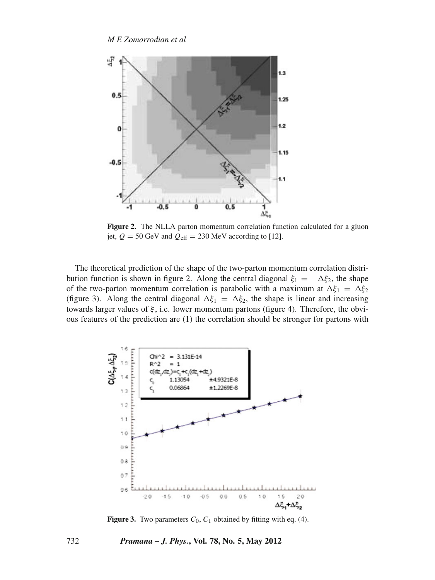

**Figure 2.** The NLLA parton momentum correlation function calculated for a gluon jet,  $Q = 50$  GeV and  $Q_{\text{eff}} = 230$  MeV according to [12].

The theoretical prediction of the shape of the two-parton momentum correlation distribution function is shown in figure 2. Along the central diagonal  $\xi_1 = -\Delta \xi_2$ , the shape of the two-parton momentum correlation is parabolic with a maximum at  $\Delta \xi_1 = \Delta \xi_2$ (figure 3). Along the central diagonal  $\Delta \xi_1 = \Delta \xi_2$ , the shape is linear and increasing towards larger values of  $\xi$ , i.e. lower momentum partons (figure 4). Therefore, the obvious features of the prediction are (1) the correlation should be stronger for partons with



**Figure 3.** Two parameters  $C_0$ ,  $C_1$  obtained by fitting with eq. (4).

732 *Pramana – J. Phys.***, Vol. 78, No. 5, May 2012**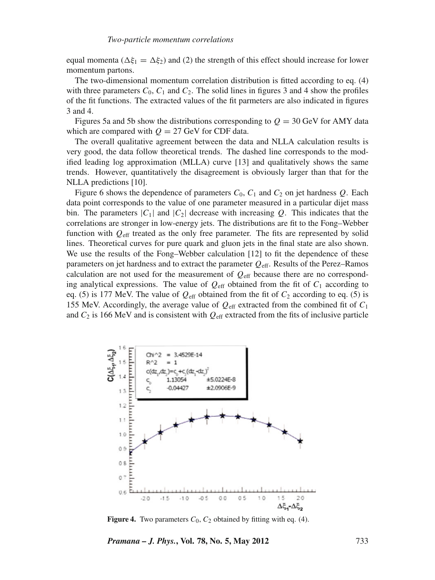equal momenta ( $\Delta \xi_1 = \Delta \xi_2$ ) and (2) the strength of this effect should increase for lower momentum partons.

The two-dimensional momentum correlation distribution is fitted according to eq. (4) with three parameters  $C_0$ ,  $C_1$  and  $C_2$ . The solid lines in figures 3 and 4 show the profiles of the fit functions. The extracted values of the fit parmeters are also indicated in figures 3 and 4.

Figures 5a and 5b show the distributions corresponding to  $Q = 30$  GeV for AMY data which are compared with  $Q = 27$  GeV for CDF data.

The overall qualitative agreement between the data and NLLA calculation results is very good, the data follow theoretical trends. The dashed line corresponds to the modified leading log approximation (MLLA) curve [13] and qualitatively shows the same trends. However, quantitatively the disagreement is obviously larger than that for the NLLA predictions [10].

Figure 6 shows the dependence of parameters  $C_0$ ,  $C_1$  and  $C_2$  on jet hardness  $Q$ . Each data point corresponds to the value of one parameter measured in a particular dijet mass bin. The parameters  $|C_1|$  and  $|C_2|$  decrease with increasing Q. This indicates that the correlations are stronger in low-energy jets. The distributions are fit to the Fong–Webber function with *Q*eff treated as the only free parameter. The fits are represented by solid lines. Theoretical curves for pure quark and gluon jets in the final state are also shown. We use the results of the Fong–Webber calculation [12] to fit the dependence of these parameters on jet hardness and to extract the parameter *Q*eff. Results of the Perez–Ramos calculation are not used for the measurement of  $Q_{\text{eff}}$  because there are no corresponding analytical expressions. The value of  $Q_{\text{eff}}$  obtained from the fit of  $C_1$  according to eq. (5) is 177 MeV. The value of  $Q_{\text{eff}}$  obtained from the fit of  $C_2$  according to eq. (5) is 155 MeV. Accordingly, the average value of  $Q_{\text{eff}}$  extracted from the combined fit of  $C_1$ and  $C_2$  is 166 MeV and is consistent with  $Q_{\text{eff}}$  extracted from the fits of inclusive particle



**Figure 4.** Two parameters  $C_0$ ,  $C_2$  obtained by fitting with eq. (4).

*Pramana – J. Phys.***, Vol. 78, No. 5, May 2012** 733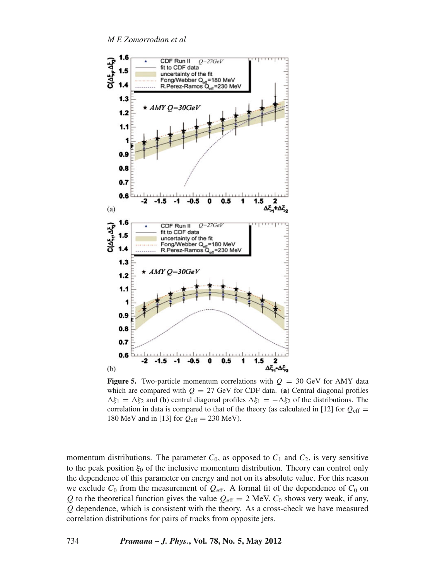*M E Zomorrodian et al*



**Figure 5.** Two-particle momentum correlations with  $Q = 30$  GeV for AMY data which are compared with  $Q = 27$  GeV for CDF data. (a) Central diagonal profiles  $\Delta \xi_1 = \Delta \xi_2$  and (**b**) central diagonal profiles  $\Delta \xi_1 = -\Delta \xi_2$  of the distributions. The correlation in data is compared to that of the theory (as calculated in [12] for  $Q_{\text{eff}} =$ 180 MeV and in [13] for *Q*eff = 230 MeV).

momentum distributions. The parameter  $C_0$ , as opposed to  $C_1$  and  $C_2$ , is very sensitive to the peak position  $\xi_0$  of the inclusive momentum distribution. Theory can control only the dependence of this parameter on energy and not on its absolute value. For this reason we exclude  $C_0$  from the measurement of  $Q_{\text{eff}}$ . A formal fit of the dependence of  $C_0$  on *Q* to the theoretical function gives the value  $Q_{\text{eff}} = 2$  MeV.  $C_0$  shows very weak, if any, *Q* dependence, which is consistent with the theory. As a cross-check we have measured correlation distributions for pairs of tracks from opposite jets.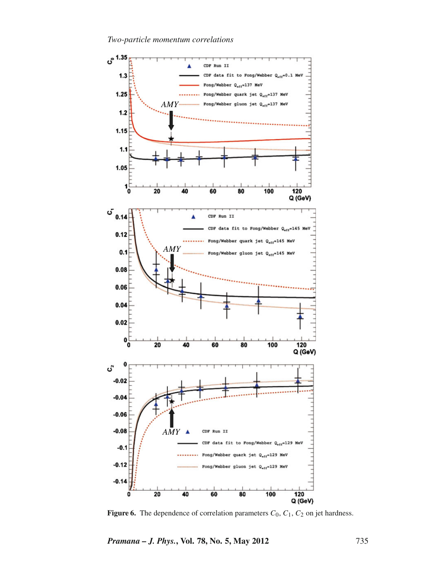*Two-particle momentum correlations*



**Figure 6.** The dependence of correlation parameters  $C_0$ ,  $C_1$ ,  $C_2$  on jet hardness.

*Pramana – J. Phys.***, Vol. 78, No. 5, May 2012** 735